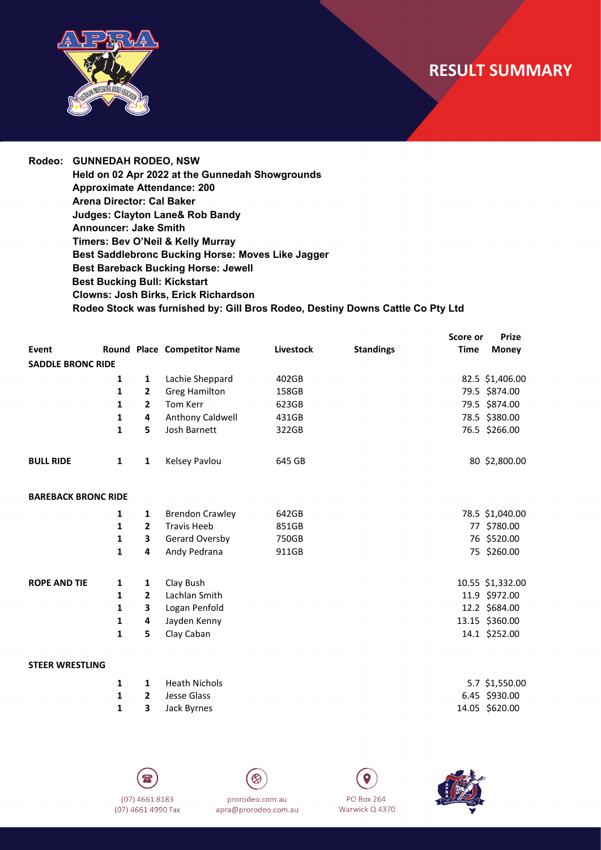## **RESULT SUMMARY**



**Rodeo: GUNNEDAH RODEO, NSW Held on 02 Apr 2022 at the Gunnedah Showgrounds Approximate Attendance: 200 Arena Director: Cal Baker Judges: Clayton Lane& Rob Bandy Announcer: Jake Smith Timers: Bev O'Neil & Kelly Murray Best Saddlebronc Bucking Horse: Moves Like Jagger Best Bareback Bucking Horse: Jewell Best Bucking Bull: Kickstart Clowns: Josh Birks, Erick Richardson Rodeo Stock was furnished by: Gill Bros Rodeo, Destiny Downs Cattle Co Pty Ltd**

|                            |              |                |                             |           |                  | Score or    | <b>Prize</b>     |
|----------------------------|--------------|----------------|-----------------------------|-----------|------------------|-------------|------------------|
| Event                      |              |                | Round Place Competitor Name | Livestock | <b>Standings</b> | <b>Time</b> | <b>Money</b>     |
| <b>SADDLE BRONC RIDE</b>   |              |                |                             |           |                  |             |                  |
|                            | 1            | 1              | Lachie Sheppard             | 402GB     |                  |             | 82.5 \$1,406.00  |
|                            | 1            | 2              | <b>Greg Hamilton</b>        | 158GB     |                  |             | 79.5 \$874.00    |
|                            | 1            | $\overline{2}$ | Tom Kerr                    | 623GB     |                  |             | 79.5 \$874.00    |
|                            | 1            | 4              | Anthony Caldwell            | 431GB     |                  |             | 78.5 \$380.00    |
|                            | $\mathbf{1}$ | 5              | Josh Barnett                | 322GB     |                  |             | 76.5 \$266.00    |
| <b>BULL RIDE</b>           | $\mathbf{1}$ | $\mathbf{1}$   | Kelsey Pavlou               | 645 GB    |                  |             | 80 \$2,800.00    |
| <b>BAREBACK BRONC RIDE</b> |              |                |                             |           |                  |             |                  |
|                            | 1            | 1              | <b>Brendon Crawley</b>      | 642GB     |                  |             | 78.5 \$1,040.00  |
|                            | 1            | $\mathbf{2}$   | <b>Travis Heeb</b>          | 851GB     |                  |             | 77 \$780.00      |
|                            | 1            | 3              | Gerard Oversby              | 750GB     |                  |             | 76 \$520.00      |
|                            | $\mathbf{1}$ | 4              | Andy Pedrana                | 911GB     |                  |             | 75 \$260.00      |
| <b>ROPE AND TIE</b>        | 1            | 1              | Clay Bush                   |           |                  |             | 10.55 \$1,332.00 |
|                            | 1            | $\mathbf{2}$   | Lachlan Smith               |           |                  |             | 11.9 \$972.00    |
|                            | 1            | 3              | Logan Penfold               |           |                  |             | 12.2 \$684.00    |
|                            | 1            | 4              | Jayden Kenny                |           |                  |             | 13.15 \$360.00   |
|                            | 1            | 5              | Clay Caban                  |           |                  |             | 14.1 \$252.00    |
| <b>STEER WRESTLING</b>     |              |                |                             |           |                  |             |                  |
|                            | 1            | 1              | <b>Heath Nichols</b>        |           |                  |             | 5.7 \$1.550.00   |

|  | <b>1 1</b> Heath Nichols | 5.7 \$1,550.00 |
|--|--------------------------|----------------|
|  | <b>1</b> 2 Jesse Glass   | 6.45 \$930.00  |
|  | <b>1 3</b> Jack Byrnes   | 14.05 \$620.00 |
|  |                          |                |